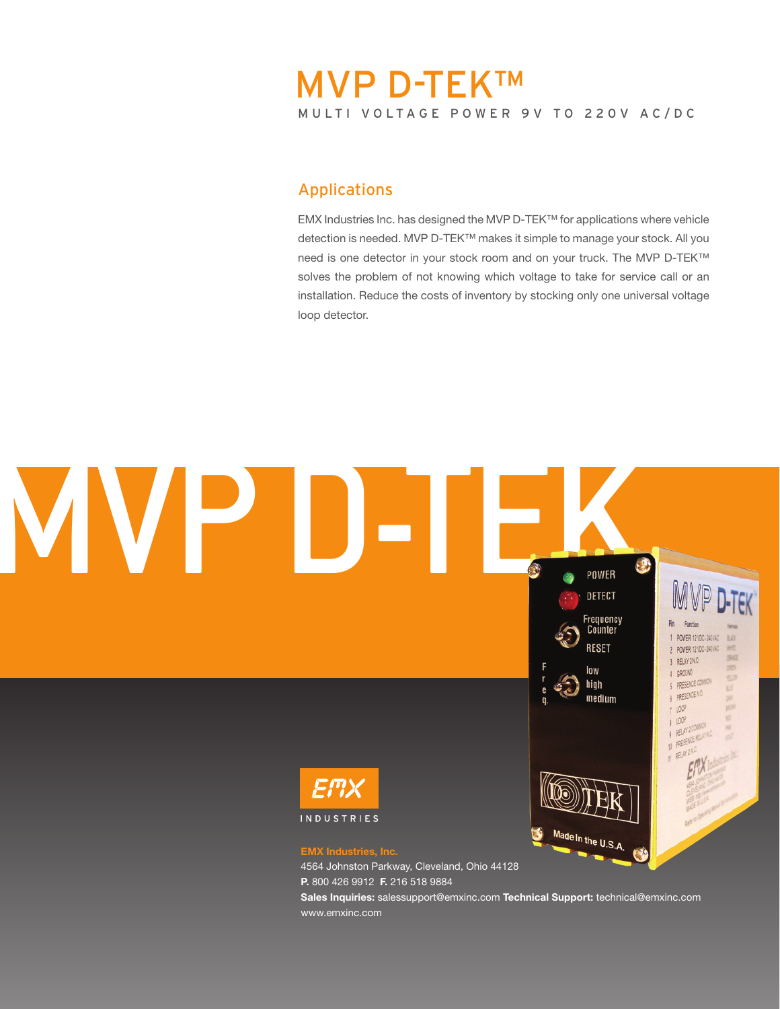# MULTI VOLTAGE POWER 9V TO 220V AC/DC MVP D-TEK™

### Applications

EMX Industries Inc. has designed the MVP D-TEK™ for applications where vehicle detection is needed. MVP D-TEK™ makes it simple to manage your stock. All you need is one detector in your stock room and on your truck. The MVP D-TEK™ solves the problem of not knowing which voltage to take for service call or an installation. Reduce the costs of inventory by stocking only one universal voltage loop detector.